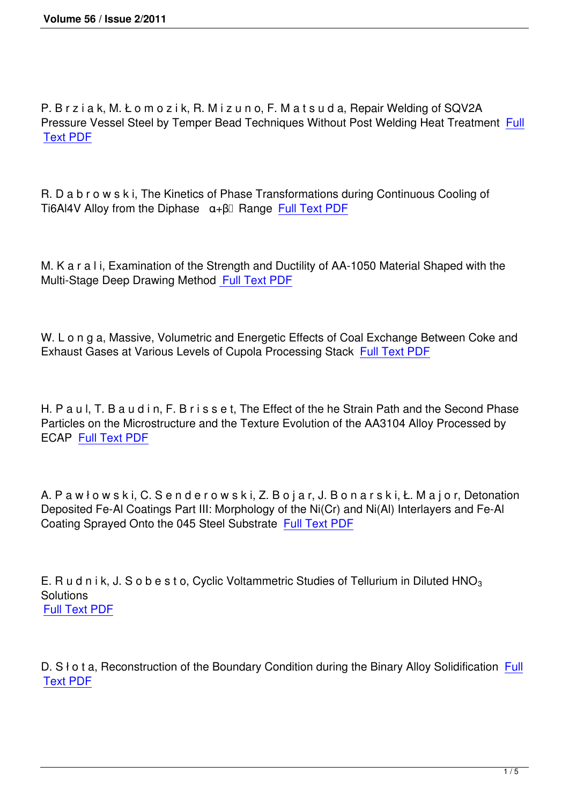P. B r z i a k, M. Ł o m o z i k, R. M i z u n o, F. M a t s u d a, Repair Welding of SQV2A Pressure Vessel Steel by Temper Bead Techniques Without Post Welding Heat Treatment Full Text PDF

[R. D a b r](http://imim.pl/files/archiwum/Vol2_2011/1.pdf) o w s k i, The Kinetics of Phase Transformations during Continuous Cooling of Ti6Al4V Alloy from the Diphase α+β Range Full Text PDF

M. K a r a l i, Examination of the Strength and [Ductility of AA-](http://imim.pl/files/archiwum/Vol2_2011/2.pdf)1050 Material Shaped with the Multi-Stage Deep Drawing Method Full Text PDF

W. L o n g a, Massive, Volumetric [and Energetic E](http://imim.pl/files/archiwum/Vol2_2011/3.pdf)ffects of Coal Exchange Between Coke and Exhaust Gases at Various Levels of Cupola Processing Stack Full Text PDF

H. P a u l, T. B a u d i n, F. B r i s s e t, The Effect of the he Str[ain Path and th](http://imim.pl/files/archiwum/Vol2_2011/4.pdf)e Second Phase Particles on the Microstructure and the Texture Evolution of the AA3104 Alloy Processed by ECAP Full Text PDF

A. P a [w ł o w s k i, C](http://imim.pl/files/archiwum/Vol2_2011/5.pdf). S e n d e r o w s k i, Z. B o j a r, J. B o n a r s k i, Ł. M a j o r, Detonation Deposited Fe-Al Coatings Part III: Morphology of the Ni(Cr) and Ni(Al) Interlayers and Fe-Al Coating Sprayed Onto the 045 Steel Substrate Full Text PDF

E. R u d n i k, J. S o b e s t o, Cyclic Voltammet[ric Studies of T](http://imim.pl/files/archiwum/Vol2_2011/6.pdf)ellurium in Diluted HNO<sub>3</sub> **Solutions** Full Text PDF

D. S  $\dagger$  o t a, Reconstruction of the Boundary Condition during the Binary Alloy Solidification Full Text PDF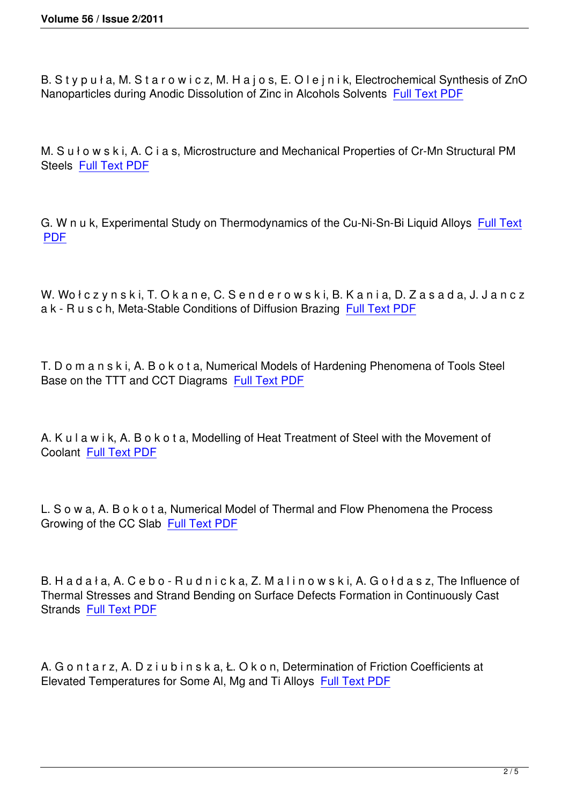B. Stypuła, M. Starowicz, M. Hajos, E. Olejnik, Electrochemical Synthesis of ZnO Nanoparticles during Anodic Dissolution of Zinc in Alcohols Solvents Full Text PDF

M. S u ł o w s k i, A. C i a s, Microstructure and Mechanical Propertie[s of Cr-Mn Stru](http://imim.pl/files/archiwum/Vol2_2011/9.pdf)ctural PM Steels Full Text PDF

G. W n [u k, Experime](http://imim.pl/files/archiwum/Vol2_2011/10.pdf)ntal Study on Thermodynamics of the Cu-Ni-Sn-Bi Liquid Alloys Full Text PDF

[W. W](http://imim.pl/files/archiwum/Vol2_2011/11.pdf)ołczynski, T. Okane, C. Senderowski, B. Kania, D. Zasada, J. Jancz a k - R u s c h, Meta-Stable Conditions of Diffusion Brazing Full Text PDF

T. D o m a n s k i, A. B o k o t a, Numerical Models of Harde[ning Phenome](http://imim.pl/files/archiwum/Vol2_2011/12.pdf)na of Tools Steel Base on the TTT and CCT Diagrams Full Text PDF

A. K u l a w i k, A. B o k o t a, Modelli[ng of Heat Trea](http://imim.pl/files/archiwum/Vol2_2011/13.pdf)tment of Steel with the Movement of Coolant Full Text PDF

L. S o w [a, A. B o k o t](http://imim.pl/files/archiwum/Vol2_2011/14.pdf) a, Numerical Model of Thermal and Flow Phenomena the Process Growing of the CC Slab Full Text PDF

B. H a d a ł a, A. C e b o [- R u d n i c k](http://imim.pl/files/archiwum/Vol2_2011/15.pdf) a, Z. M a l i n o w s k i, A. G o ł d a s z, The Influence of Thermal Stresses and Strand Bending on Surface Defects Formation in Continuously Cast Strands Full Text PDF

A. G o n [t a r z, A. D z i](http://imim.pl/files/archiwum/Vol2_2011/16.pdf) u b i n s k a, Ł. O k o n, Determination of Friction Coefficients at Elevated Temperatures for Some Al, Mg and Ti Alloys Full Text PDF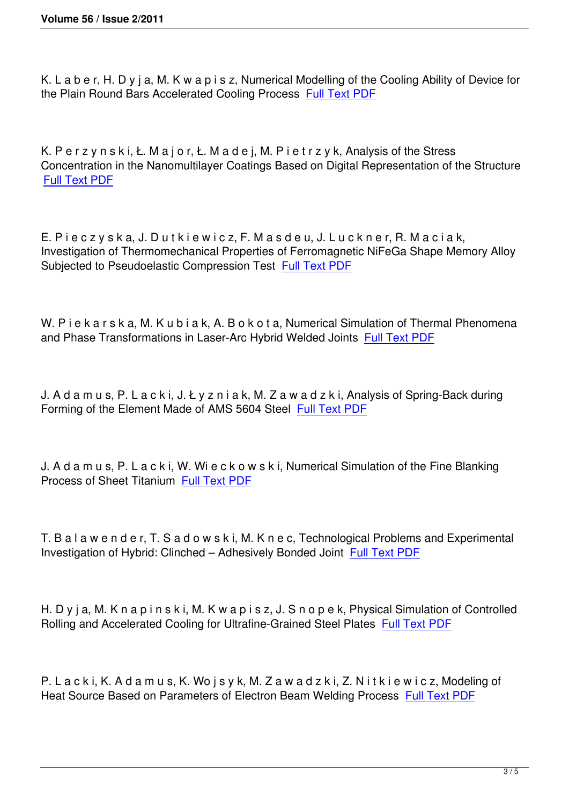K. L a b e r, H. D y j a, M. K w a p i s z, Numerical Modelling of the Cooling Ability of Device for the Plain Round Bars Accelerated Cooling Process Full Text PDF

K. Perzynski, Ł. Major, Ł. Madej, M. Pietrzyk, Analysis of the Stress Concentration in the Nanomultilayer Coatings Based on Digital Representation of the Structure Full Text PDF

[E. P i e c z y s](http://imim.pl/files/archiwum/Vol2_2011/19.pdf) k a, J. D u t k i e w i c z, F. M a s d e u, J. L u c k n e r, R. M a c i a k, Investigation of Thermomechanical Properties of Ferromagnetic NiFeGa Shape Memory Alloy Subjected to Pseudoelastic Compression Test Full Text PDF

W. P i e k a r s k a, M. K u b i a k, A. B o k o t a[, Numerical Sim](http://imim.pl/files/archiwum/Vol2_2011/20.pdf)ulation of Thermal Phenomena and Phase Transformations in Laser-Arc Hybrid Welded Joints Full Text PDF

J. A d a m u s, P. L a c k i, J. Ł y z n i a k, M. Z a w a d z k i, An[alysis of Spring](http://imim.pl/files/archiwum/Vol2_2011/21.pdf)-Back during Forming of the Element Made of AMS 5604 Steel Full Text PDF

J. A d a m u s, P. L a c k i, W. Wi e c k o w s k i, N[umerical Simu](http://imim.pl/files/archiwum/Vol2_2011/22.pdf)lation of the Fine Blanking Process of Sheet Titanium Full Text PDF

T. B a l a w e n d e r, T. S a [d o w s k i, M.](http://imim.pl/files/archiwum/Vol2_2011/23.pdf) K n e c, Technological Problems and Experimental Investigation of Hybrid: Clinched – Adhesively Bonded Joint Full Text PDF

H. D y j a, M. K n a p i n s k i, M. K w a p i s z, J. S n o p e k, [Physical Simu](http://imim.pl/files/archiwum/Vol2_2011/24.pdf)lation of Controlled Rolling and Accelerated Cooling for Ultrafine-Grained Steel Plates Full Text PDF

P. L a c k i, K. A d a m u s, K. Wo j s y k, M. Z a w a d z k i, Z. N i t [k i e w i c z, Mo](http://imim.pl/files/archiwum/Vol2_2011/25.pdf)deling of Heat Source Based on Parameters of Electron Beam Welding Process Full Text PDF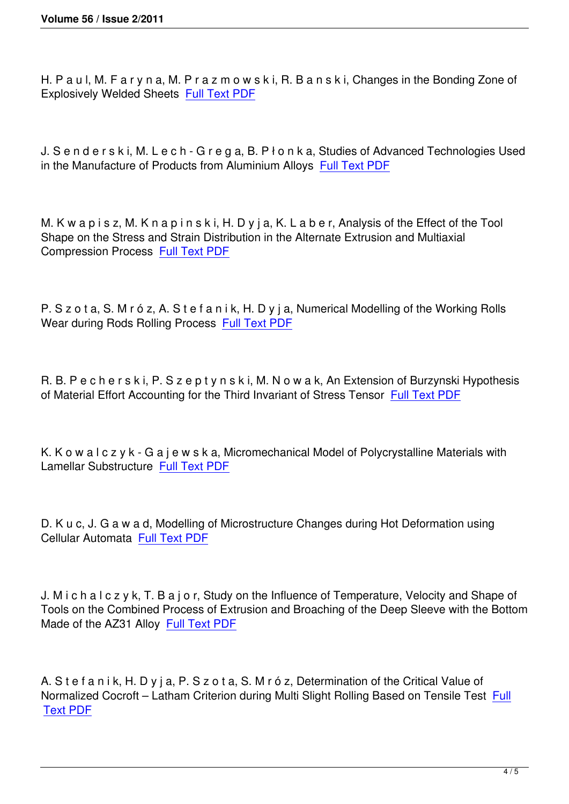H. P a u l, M. F a r y n a, M. P r a z m o w s k i, R. B a n s k i, Changes in the Bonding Zone of Explosively Welded Sheets Full Text PDF

J. S e n d e r s k i, M. L e c [h - G r e g a, B.](http://imim.pl/files/archiwum/Vol2_2011/27.pdf) P ł o n k a, Studies of Advanced Technologies Used in the Manufacture of Products from Aluminium Alloys Full Text PDF

M. K w a p i s z, M. K n a p i n s k i, H. D y j a, K. L a b [e r, Analysis o](http://imim.pl/files/archiwum/Vol2_2011/28.pdf)f the Effect of the Tool Shape on the Stress and Strain Distribution in the Alternate Extrusion and Multiaxial Compression Process Full Text PDF

P. S z o t a, S. M r ó z, [A. S t e f a n i](http://imim.pl/files/archiwum/Vol2_2011/29.pdf) k, H. D y j a, Numerical Modelling of the Working Rolls Wear during Rods Rolling Process Full Text PDF

R. B. P e c h e r s k i, P. S z e p t y [n s k i, M. N o](http://imim.pl/files/archiwum/Vol2_2011/30.pdf) w a k, An Extension of Burzynski Hypothesis of Material Effort Accounting for the Third Invariant of Stress Tensor Full Text PDF

K. K o w a l c z y k - G a j e w s k a, Micromechanical Model of Polyc[rystalline Mate](http://imim.pl/files/archiwum/Vol2_2011/31.pdf)rials with Lamellar Substructure Full Text PDF

D. K u c, J. G a w a d, [Modelling of M](http://imim.pl/files/archiwum/Vol2_2011/32.pdf)icrostructure Changes during Hot Deformation using Cellular Automata Full Text PDF

J. M i c h a l c z y k[, T. B a j o r, S](http://imim.pl/files/archiwum/Vol2_2011/33.pdf)tudy on the Influence of Temperature, Velocity and Shape of Tools on the Combined Process of Extrusion and Broaching of the Deep Sleeve with the Bottom Made of the AZ31 Alloy Full Text PDF

A. S t e f a n i k, H. D y j [a, P. S z o t a,](http://imim.pl/files/archiwum/Vol2_2011/34.pdf) S. M r ó z, Determination of the Critical Value of Normalized Cocroft – Latham Criterion during Multi Slight Rolling Based on Tensile Test Full Text PDF